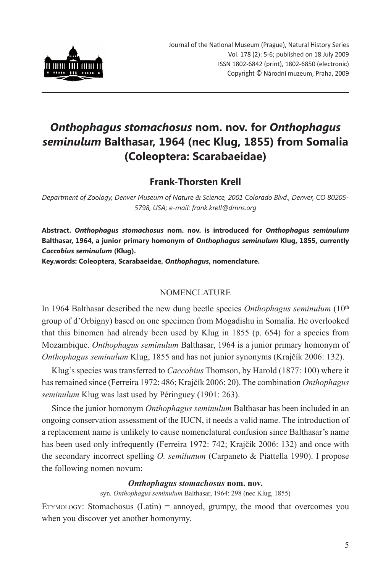

# *Onthophagus stomachosus* **nom. nov. for** *Onthophagus seminulum* **Balthasar, 1964 (nec Klug, 1855) from Somalia (Coleoptera: Scarabaeidae)**

## **Frank-Thorsten Krell**

*Department of Zoology, Denver Museum of Nature & Science, 2001 Colorado Blvd., Denver, CO 80205- 5798, USA; e-mail: frank.krell@dmns.org*

**Abstract.** *Onthophagus stomachosus* **nom. nov. is introduced for** *Onthophagus seminulum* **Balthasar, 1964, a junior primary homonym of** *Onthophagus seminulum* **Klug, 1855, currently**  *Caccobius seminulum* **(Klug).**

**Key.words: Coleoptera, Scarabaeidae,** *Onthophagus***, nomenclature.**

### Nomenclature

In 1964 Balthasar described the new dung beetle species *Onthophagus seminulum* (10<sup>th</sup>) group of d'Orbigny) based on one specimen from Mogadishu in Somalia. He overlooked that this binomen had already been used by Klug in 1855 (p. 654) for a species from Mozambique. *Onthophagus seminulum* Balthasar, 1964 is a junior primary homonym of *Onthophagus seminulum* Klug, 1855 and has not junior synonyms (Krajčík 2006: 132).

Klug's species was transferred to *Caccobius* Thomson, by Harold (1877: 100) where it has remained since (Ferreira 1972: 486; Krajčík 2006: 20). The combination *Onthophagus seminulum* Klug was last used by Péringuey (1901: 263).

Since the junior homonym *Onthophagus seminulum* Balthasar has been included in an ongoing conservation assessment of the IUCN, it needs a valid name. The introduction of a replacement name is unlikely to cause nomenclatural confusion since Balthasar's name has been used only infrequently (Ferreira 1972: 742; Krajčík 2006: 132) and once with the secondary incorrect spelling *O. semilunum* (Carpaneto & Piattella 1990). I propose the following nomen novum:

#### *Onthophagus stomachosus* **nom. nov.**

syn. *Onthophagus seminulum* Balthasar, 1964: 298 (nec Klug, 1855)

ETYMOLOGY: Stomachosus (Latin) = annoyed, grumpy, the mood that overcomes you when you discover yet another homonymy.